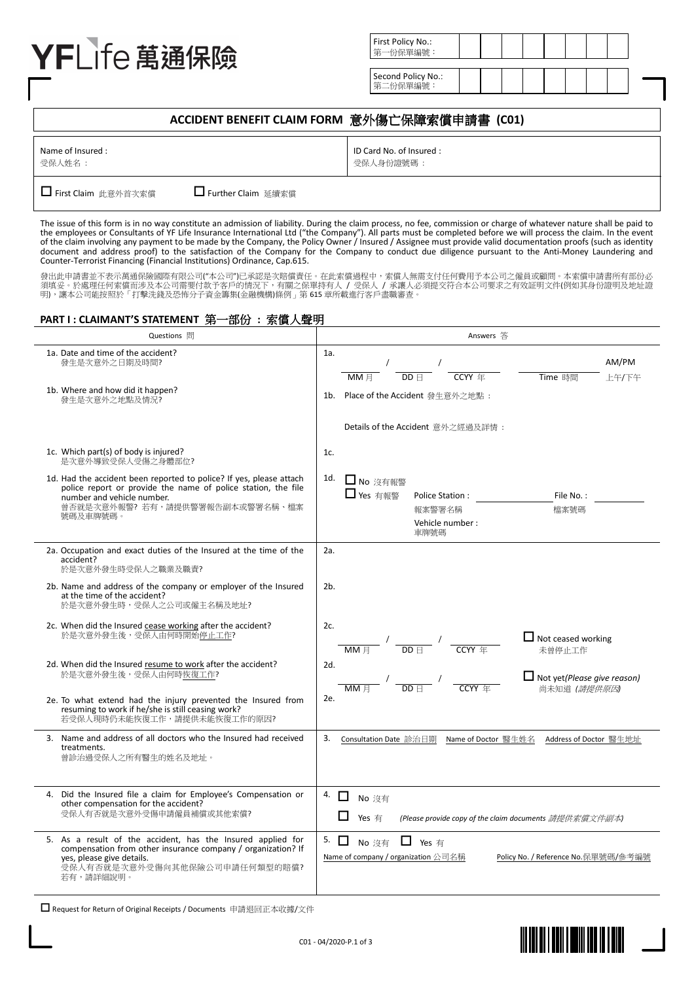# YFLife 萬通保險

| First Policy No.:<br>第一份保單編號:  |  |  |  |  |  |
|--------------------------------|--|--|--|--|--|
|                                |  |  |  |  |  |
| Second Policy No.:<br>第二份保單編號: |  |  |  |  |  |

# **ACCIDENT BENEFIT CLAIM FORM** 意外傷亡保障索償申請書 **(C01)**

|--|

■ First Claim 此意外首次索償 ■ ■ Further Claim 延續索償

The issue of this form is in no way constitute an admission of liability. During the claim process, no fee, commission or charge of whatever nature shall be paid to the employees or Consultants of YF Life Insurance International Ltd ("the Company"). All parts must be completed before we will process the claim. In the event<br>of the claim involving any payment to be made by the Company, document and address proof) to the satisfaction of the Company for the Company to conduct due diligence pursuant to the Anti-Money Laundering and Counter-Terrorist Financing (Financial Institutions) Ordinance, Cap.615.

發出此申請書並不表示萬通保險國際有限公司("本公司")已承認是次賠償責任。在此索償過程中,索償人無需支付任何費用予本公司之僱員或顧問。本索償申請書所有部份必<br>須填妥。於處理任何索償而涉及本公司需要付款予客戶的情況下,有關之保單持有人 / 受保人 / 承讓人必須提交符合本公司要求之有效証明文件(例如其身份證明及地址證<br>明),讓本公司能按照於「打擊洗錢及恐怖分子資金籌集(金融機構)條例」第 615 章所載進行客戶盡職審查。

## **PART I : CLAIMANT'S STATEMENT** 第一部份 **:** 索償人聲明

| Questions 問                                                                                                                                                                                                      | Answers 答                                                                                                                      |  |  |  |  |
|------------------------------------------------------------------------------------------------------------------------------------------------------------------------------------------------------------------|--------------------------------------------------------------------------------------------------------------------------------|--|--|--|--|
| 1a. Date and time of the accident?<br>發生是次意外之日期及時間?<br>1b. Where and how did it happen?                                                                                                                          | 1a.<br>AM/PM<br>Time 時間<br>MM 日<br>DD F<br>CCYY 年<br>上午/下午                                                                     |  |  |  |  |
| 發生是次意外之地點及情況?                                                                                                                                                                                                    | 1b. Place of the Accident 發生意外之地點:<br>Details of the Accident 意外之經過及詳情:                                                        |  |  |  |  |
| 1c. Which part(s) of body is injured?<br>是次意外導致受保人受傷之身體部位?                                                                                                                                                       | 1c.                                                                                                                            |  |  |  |  |
| 1d. Had the accident been reported to police? If yes, please attach<br>police report or provide the name of police station, the file<br>number and vehicle number.<br>曾否就是次意外報警?若有,請提供警署報告副本或警署名稱、檔案<br>號碼及車牌號碼。 | 1d.<br>□ No 沒有報警<br>□ Yes 有報警<br>Police Station:<br>File No.:<br>報案警署名稱<br>檔案號碼<br>Vehicle number:<br>車牌號碼                     |  |  |  |  |
| 2a. Occupation and exact duties of the Insured at the time of the<br>accident?<br>於是次意外發生時受保人之職業及職責?                                                                                                             | 2a.                                                                                                                            |  |  |  |  |
| 2b. Name and address of the company or employer of the Insured<br>at the time of the accident?<br>於是次意外發生時,受保人之公司或僱主名稱及地址?                                                                                       | 2 <sub>b</sub>                                                                                                                 |  |  |  |  |
| 2c. When did the Insured cease working after the accident?<br>於是次意外發生後,受保人由何時開始停止工作?                                                                                                                             | 2c.<br>$\Box$ Not ceased working<br>$\frac{1}{\text{MM H}}$ / $\frac{1}{\text{DD H}}$ /<br><b>CCYY</b> 年<br>未曾停止工作             |  |  |  |  |
| 2d. When did the Insured resume to work after the accident?<br>於是次意外發生後,受保人由何時恢復工作?                                                                                                                              | 2d.<br>$\Box$ Not yet(Please give reason)<br>$DD \nparallel$<br>CCYY 年<br>尚未知道 (請提供原因)                                         |  |  |  |  |
| 2e. To what extend had the injury prevented the Insured from<br>resuming to work if he/she is still ceasing work?<br>若受保人現時仍未能恢復工作,請提供未能恢復工作的原因?                                                                 | 2e.                                                                                                                            |  |  |  |  |
| 3. Name and address of all doctors who the Insured had received<br>treatments.<br>曾診治過受保人之所有醫生的姓名及地址。                                                                                                            | 3.<br>Consultation Date 診治日期 Name of Doctor 醫生姓名 Address of Doctor 醫生地址                                                        |  |  |  |  |
| 4. Did the Insured file a claim for Employee's Compensation or<br>other compensation for the accident?<br>受保人有否就是次意外受傷申請僱員補償或其他索償?                                                                               | 4.<br>$\Box$<br>No 沒有<br>Yes 有<br>(Please provide copy of the claim documents 請提供索償文件副本)                                       |  |  |  |  |
| 5. As a result of the accident, has the Insured applied for<br>compensation from other insurance company / organization? If<br>yes, please give details.<br>受保人有否就是次意外受傷向其他保險公司申請任何類型的賠償?<br>若有,請詳細說明。           | 5. $\Box$<br>$\Box$ Yes $\overline{p}$<br>No 沒有<br>Name of company / organization 公司名稱<br>Policy No. / Reference No. 保單號碼/參考編號 |  |  |  |  |

Request for Return of Original Receipts / Documents 申請退回正本收據/文件



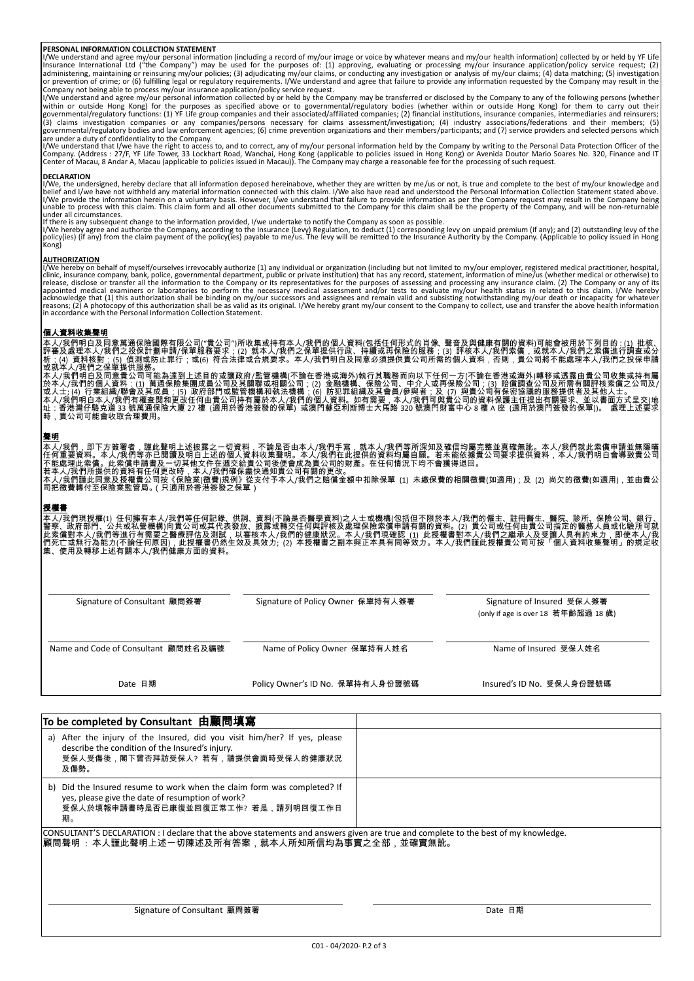**PERSONAL INFORMATION COLLECTION STATEMENT**<br>I/We understand and agree my/our personal information (including a record of my/our image or voice by whatever means and my/our health information) collected by or held by YF Lif Company not being able to process my/our insurance application/policy service request.

I/We understand and agree my/our personal information collected by or held by the Company may be transferred or disclosed by the Company to any of the following persons (whether within or outside Hong Kong) for the purposes as specified above or to governmental/regulatory bodies (whether within or outside Hong Kong) for them to carry out their<br>governmental/regulatory functions: (1) YF Life group c

are under a duty of confidentiality to the Company.<br>I/We understand that I/we have the right to access to, and to correct, any of my/our personal information held by the Company by writing to the Personal Data Protection O

**DECLARATION**<br>I/We, the undersigned, hereby declare that all information deposed hereinabove, whether they are written by me/us or not, is true and complete to the best of my/our knowledge and I/We, the undersigned, hereby declare that all information deposed hereinabove, whether they are written by me/us or not, is true and complete to the best of my/our knowledge and<br>belief and I/we have not withheld any mater

under all crocess with this claim. This claim form and all other documents submitted to the Company for this claim shall be the property of the Company, and will be non-returnable<br>under all circumstances.<br>If there is any s

**AUTHORIZATION**<br>HOWE hereby on behalf of myself/ourselves irrevocably authorize (1) any individual or organization (including but not limited to my/our employer, registered medical practitioner, hospital, clinic, insurance

### 個人資料收集聲明

本人/我們明白及同意萬通保險國際有限公司("貴公司")所收集或持有本人/我們的個人資料(包括任何形式的肖像、聲音及與健康有關的資料)可能會被用於下列目的 : (1) 批核、<br>評審及處理本人/我們之投保計劃申請/保單服務要求; (2) 就本人/我們之保單提供行政、持續或再保險的服務;(3) 評核本人/我們索償,或就本人/我們之索償進行調查或分<br>析;(4) 資料核對;(5) 偵測或防止罪行;或(6) 符合法律或合規要求。本人/我們明白及同意必 本人/我們明白及同意貴公司可能為達到上述目的或讓政府/監管機構(不論在香港或海外)執行其職務而向以下任何一方(不論在香港或海外)轉移或透露由貴公司收集或持有屬<br>於本人/我們的個人資料:(1) 萬通保險集團成員公司及其關聯或相關公司;(2) 金融機構、保險公司、中介人或再保險公司;(3) 賠償調查公司及所需有關評核索償之公司及/<br>或人士; (4) 行業組織/聯會及其成員;(5) 政府部門或監管機構和執法機構;(6) 防犯罪組織及其會員/參與

### 聲明

本人/我們,即下方簽署者,謹此聲明上述披露之一切資料,不論是否由本人/我們手寫,就本人/我們等所深知及確信均屬完整並真確無訛。本人/我們就此索償申請並無隱囁<br>任何匪要資料。本人/我們等所已閱讀及明白上述的個人資料收集聲明。本人/我們手寫,就本人/我們屬自願。若未能依據貴公司要求提供資料,本人/我們明白會導致貴公司<br>不能處理此索償。此索償申請書及一切其他文件在遞交給貴公司後便會成為貴公司的財產。在任何情況下均不會獲得退回。<br>若本人/我們所提

### 授權書

本人/我們現授權(1) 任何擁有本人/我們等任何記錄、供詞、資料(不論是否醫學資料)之人士或機構(包括但不限於本人/我們的僱主、註冊醫生、醫院、診所、保險公司、銀行、<br>警察、政府部門、公共或私營機構)向貴公司或其代表發放、披露或轉交任何與評核及處理保險索償申請有關的資料。(2) 貴公司或任何由貴公司指定的醫務人員或化驗所可就<br>此索償對本人/我們等進行有需要之醫療評估及測試,以審核本人/我們的健康狀況。本人/我們現確認(1) 此授權書對本人 們死亡或無行為能力(不論任何原因),此授權書仍然生效及具效力; (2) 本授權書之副本與正本具有同等效力。本人/我們謹此授權貴公司可按「個人資料收集聲明」的規定收<br>集、使用及轉移上述有關本人/我們健康方面的資料。

Signature of Consultant 顧問簽署 Signature of Policy Owner 保單持有人簽署 Signature of Insured 受保人簽署 (only if age is over 18 若年齡超過 18 歲) Name and Code of Consultant 顧問姓名及編號 Name of Policy Owner 保單持有人姓名 Name and Code of Insured 受保人姓名 Date 日期 **Policy Owner's ID No. 保單持有人身份證號碼 Contract** Sub No. 受保人身份證號碼

| To be completed by Consultant 由顧問填寫                                                                                                                                                   |         |
|---------------------------------------------------------------------------------------------------------------------------------------------------------------------------------------|---------|
| a) After the injury of the Insured, did you visit him/her? If yes, please<br>describe the condition of the Insured's injury.<br>受保人受傷後,閣下曾否拜訪受保人?若有,請提供會面時受保人的健康狀況<br>及傷勢。            |         |
| b) Did the Insured resume to work when the claim form was completed? If<br>yes, please give the date of resumption of work?<br>受保人於填報申請書時是否已康復並回復正常工作? 若是,請列明回復工作日<br>期。              |         |
| CONSULTANT'S DECLARATION : I declare that the above statements and answers given are true and complete to the best of my knowledge.<br> 顧問聲明 :本人謹此聲明上述一切陳述及所有答案,就本人所知所信均為事實之全部,並確實無訛。 |         |
| Signature of Consultant 顧問簽署                                                                                                                                                          | Date 日期 |